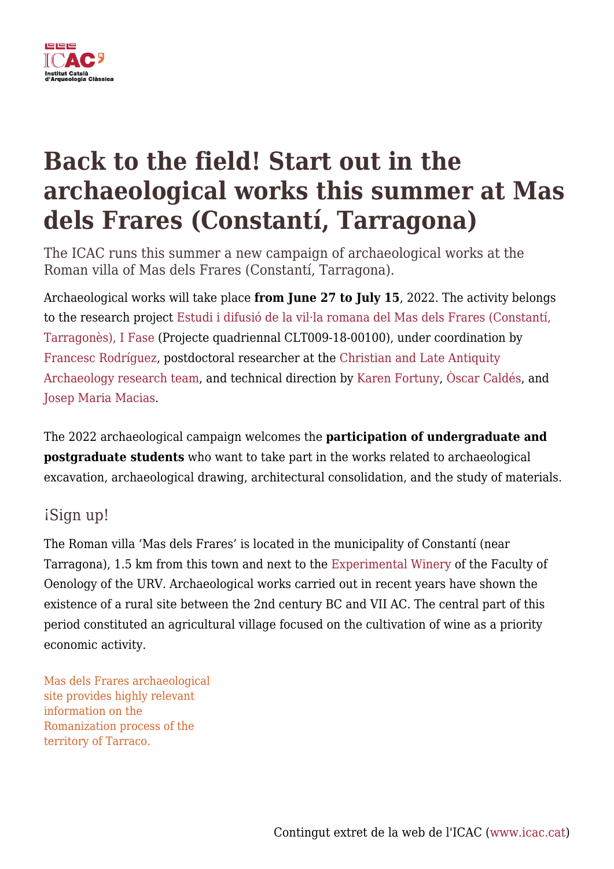

# **Back to the field! Start out in the archaeological works this summer at Mas dels Frares (Constantí, Tarragona)**

The ICAC runs this summer a new campaign of archaeological works at the Roman villa of Mas dels Frares (Constantí, Tarragona).

Archaeological works will take place **from June 27 to July 15**, 2022. The activity belongs to the research project [Estudi i difusió de la vil·la romana del Mas dels Frares \(Constantí,](https://icac.cat/en/recerca/projectes-de-recerca/projecte/estudi-i-difusio-de-la-vil%c2%b7la-romana-del-mas-dels-frares-constanti-tarragones/) [Tarragonès\), I Fase](https://icac.cat/en/recerca/projectes-de-recerca/projecte/estudi-i-difusio-de-la-vil%c2%b7la-romana-del-mas-dels-frares-constanti-tarragones/) (Projecte quadriennal CLT009-18-00100), under coordination by [Francesc Rodríguez](http://icac.cat/en/who-are-we/staff/frodriguez/), postdoctoral researcher at the [Christian and Late Antiquity](https://icac.cat/en/research/research-teams/christian-and-late-antiquity-archaeology/) [Archaeology research team](https://icac.cat/en/research/research-teams/christian-and-late-antiquity-archaeology/), and technical direction by [Karen Fortuny](http://icac.cat/en/who-are-we/staff/kfortuny/), [Òscar Caldés,](http://icac.cat/en/who-are-we/staff/ocaldes/) and [Josep Maria Macias.](http://icac.cat/en/who-are-we/staff/jmmacias/)

The 2022 archaeological campaign welcomes the **participation of undergraduate and postgraduate students** who want to take part in the works related to archaeological excavation, archaeological drawing, architectural consolidation, and the study of materials.

# iSign up!

The Roman villa 'Mas dels Frares' is located in the municipality of Constantí (near Tarragona), 1.5 km from this town and next to the [Experimental Winery](https://www.fe.urv.cat/en/about/celler-mas-dels-frares/) of the Faculty of Oenology of the URV. Archaeological works carried out in recent years have shown the existence of a rural site between the 2nd century BC and VII AC. The central part of this period constituted an agricultural village focused on the cultivation of wine as a priority economic activity.

Mas dels Frares archaeological site provides highly relevant information on the Romanization process of the territory of Tarraco.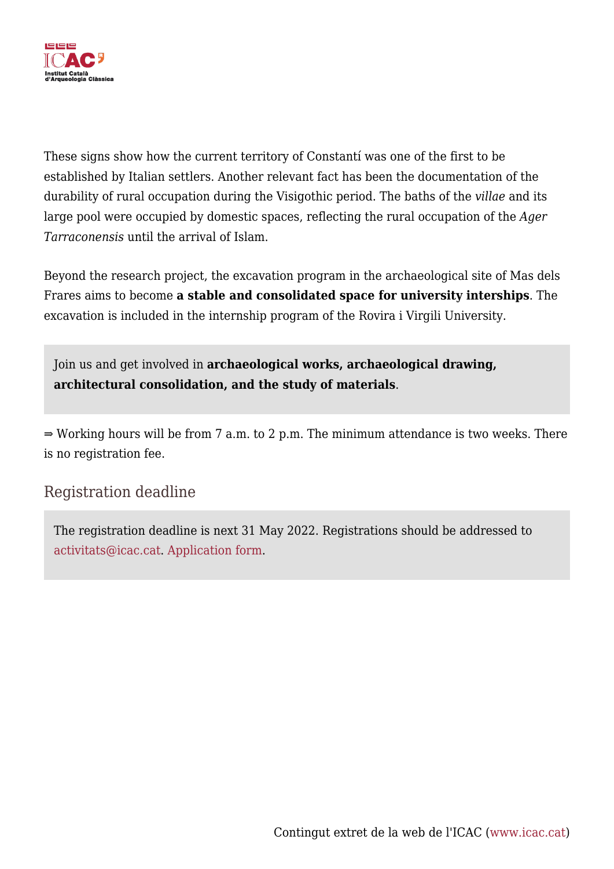

These signs show how the current territory of Constantí was one of the first to be established by Italian settlers. Another relevant fact has been the documentation of the durability of rural occupation during the Visigothic period. The baths of the *villae* and its large pool were occupied by domestic spaces, reflecting the rural occupation of the *Ager Tarraconensis* until the arrival of Islam.

Beyond the research project, the excavation program in the archaeological site of Mas dels Frares aims to become **a stable and consolidated space for university interships**. The excavation is included in the internship program of the Rovira i Virgili University.

Join us and get involved in **archaeological works, archaeological drawing, architectural consolidation, and the study of materials**.

⇒ Working hours will be from 7 a.m. to 2 p.m. The minimum attendance is two weeks. There is no registration fee.

# Registration deadline

The registration deadline is next 31 May 2022. Registrations should be addressed to [activitats@icac.cat.](mailto:activitats@icac.cat) [Application form](https://icac.cat/wp-content/uploads/2022/05/Formulari-inscripcio-Mas-dels-Frares.pdf).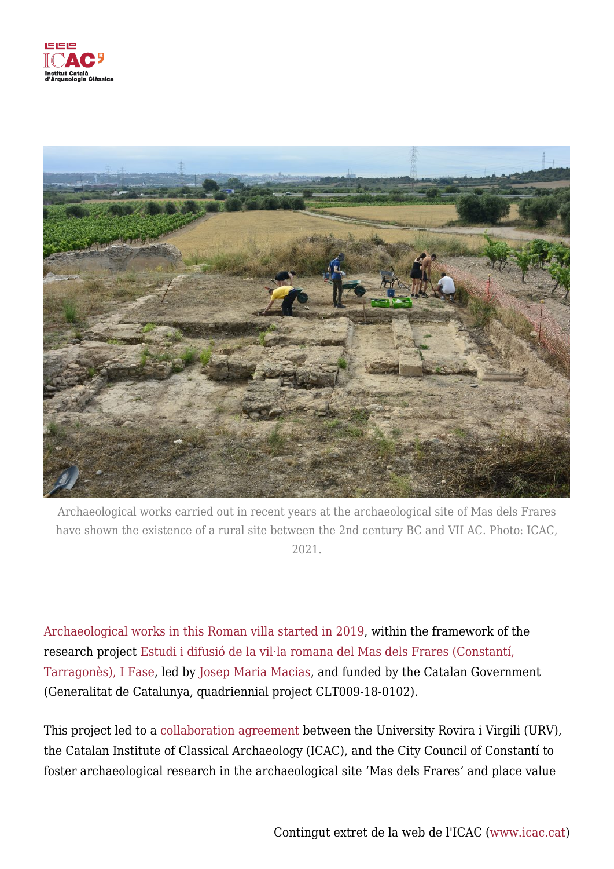



Archaeological works carried out in recent years at the archaeological site of Mas dels Frares have shown the existence of a rural site between the 2nd century BC and VII AC. Photo: ICAC, 2021.

[Archaeological works in this Roman villa started in 2019](https://icac.cat/en/actualitat/noticies/2019/el-inicio-de-los-trabajos-arqueologicos-en-la-villa-romana-de-mas-dels-frares-pone-en-marcha-un-proyecto-patrimonial-mas-amplio-de-estudio-y-divulgacion-de-la-produccion-vinicola-de-la-zona/), within the framework of the research project [Estudi i difusió de la vil·la romana del Mas dels Frares \(Constantí,](https://icac.cat/en/recerca/projectes-de-recerca/projecte/estudi-i-difusio-de-la-vil%c2%b7la-romana-del-mas-dels-frares-constanti-tarragones/) [Tarragonès\), I Fase,](https://icac.cat/en/recerca/projectes-de-recerca/projecte/estudi-i-difusio-de-la-vil%c2%b7la-romana-del-mas-dels-frares-constanti-tarragones/) led by [Josep Maria Macias](http://icac.cat/en/who-are-we/staff/jmmacias/), and funded by the Catalan Government (Generalitat de Catalunya, quadriennial project CLT009-18-0102).

This project led to a [collaboration agreement](https://icac.cat/en/actualitat/noticies/2020/urv-icac-and-constanti-city-council-run-a-full-project-to-heritage-recovery-in-the-roman-villa-of-mas-dels-frares/) between the University Rovira i Virgili (URV), the Catalan Institute of Classical Archaeology (ICAC), and the City Council of Constantí to foster archaeological research in the archaeological site 'Mas dels Frares' and place value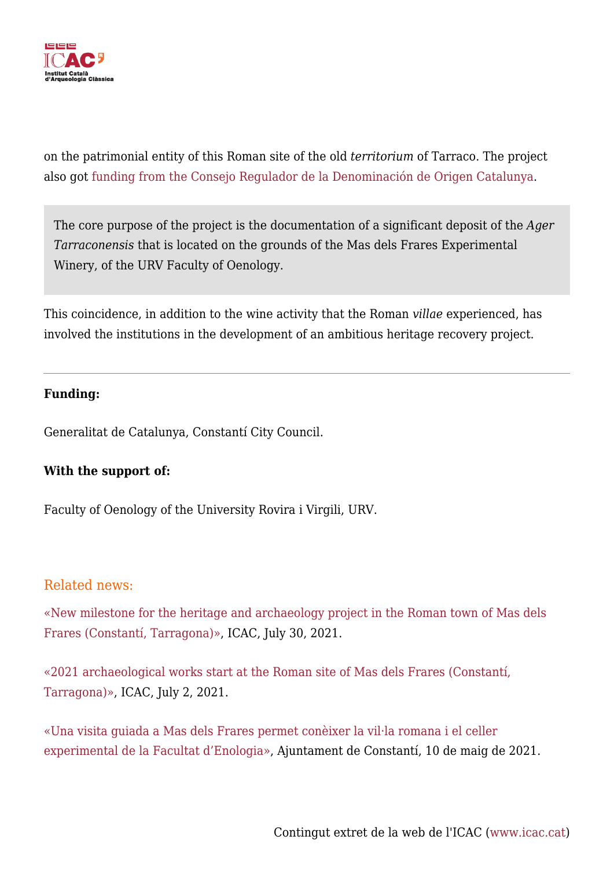

on the patrimonial entity of this Roman site of the old *territorium* of Tarraco. The project also got [funding from the Consejo Regulador de la Denominación de Origen Catalunya.](https://icac.cat/en/actualitat/noticies/2019/do-catalonia-and-the-icac-will-collaborate-in-a-reserch-project-in-the-roman-villa-mas-dels-frares/)

The core purpose of the project is the documentation of a significant deposit of the *Ager Tarraconensis* that is located on the grounds of the Mas dels Frares Experimental Winery, of the URV Faculty of Oenology.

This coincidence, in addition to the wine activity that the Roman *villae* experienced, has involved the institutions in the development of an ambitious heritage recovery project.

#### **Funding:**

Generalitat de Catalunya, Constantí City Council.

### **With the support of:**

Faculty of Oenology of the University Rovira i Virgili, URV.

## Related news:

[«New milestone for the heritage and archaeology project in the Roman town of Mas dels](https://icac.cat/en/actualitat/noticies/2021/new-milestone-for-the-heritage-and-archaeology-project-in-the-roman-town-of-mas-dels-frares-constanti-tarragona/) [Frares \(Constantí, Tarragona\)»,](https://icac.cat/en/actualitat/noticies/2021/new-milestone-for-the-heritage-and-archaeology-project-in-the-roman-town-of-mas-dels-frares-constanti-tarragona/) ICAC, July 30, 2021.

[«2021 archaeological works start at the Roman site of Mas dels Frares \(Constantí,](https://icac.cat/en/actualitat/noticies/2021/2021-archaeological-works-start-at-the-roman-site-of-mas-dels-frares-constanti-tarragona/) [Tarragona\)»,](https://icac.cat/en/actualitat/noticies/2021/2021-archaeological-works-start-at-the-roman-site-of-mas-dels-frares-constanti-tarragona/) ICAC, July 2, 2021.

[«Una visita guiada a Mas dels Frares permet conèixer la vil·la romana i el celler](https://web.constanti.cat/2021/05/10/una-visita-guiada-a-mas-dels-frares-permet-coneixer-la-villa-romana-i-el-celler-experimental-de-la-facultat-denologia/) [experimental de la Facultat d'Enologia»](https://web.constanti.cat/2021/05/10/una-visita-guiada-a-mas-dels-frares-permet-coneixer-la-villa-romana-i-el-celler-experimental-de-la-facultat-denologia/), Ajuntament de Constantí, 10 de maig de 2021.